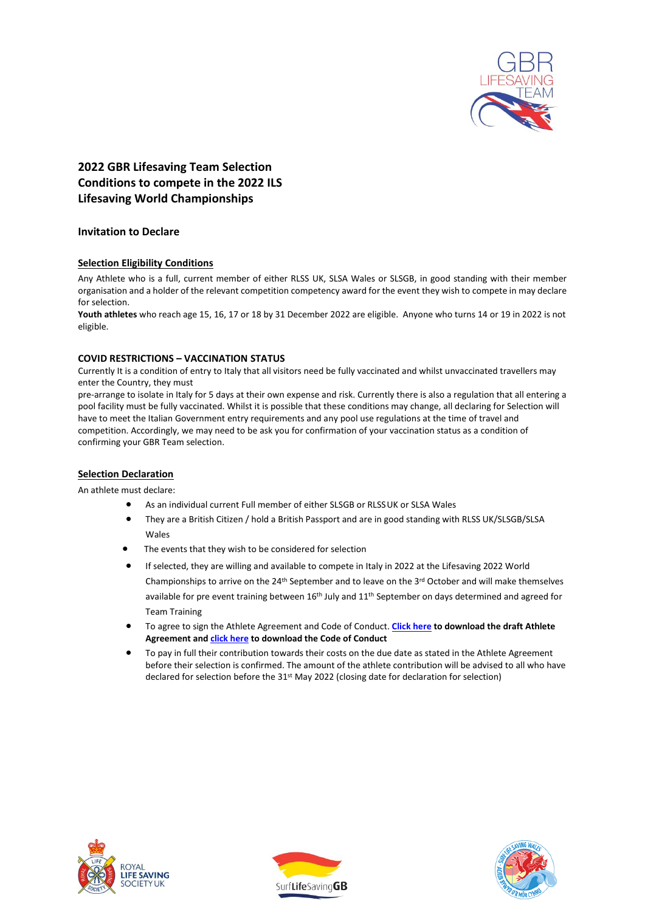

# **2022 GBR Lifesaving Team Selection Conditions to compete in the 2022 ILS Lifesaving World Championships**

# **Invitation to Declare**

# **Selection Eligibility Conditions**

Any Athlete who is a full, current member of either RLSS UK, SLSA Wales or SLSGB, in good standing with their member organisation and a holder of the relevant competition competency award for the event they wish to compete in may declare for selection.

**Youth athletes** who reach age 15, 16, 17 or 18 by 31 December 2022 are eligible. Anyone who turns 14 or 19 in 2022 is not eligible.

# **COVID RESTRICTIONS – VACCINATION STATUS**

Currently It is a condition of entry to Italy that all visitors need be fully vaccinated and whilst unvaccinated travellers may enter the Country, they must

pre-arrange to isolate in Italy for 5 days at their own expense and risk. Currently there is also a regulation that all entering a pool facility must be fully vaccinated. Whilst it is possible that these conditions may change, all declaring for Selection will have to meet the Italian Government entry requirements and any pool use regulations at the time of travel and competition. Accordingly, we may need to be ask you for confirmation of your vaccination status as a condition of confirming your GBR Team selection.

# **Selection Declaration**

An athlete must declare:

- As an individual current Full member of either SLSGB or RLSSUK or SLSA Wales
- They are a British Citizen / hold a British Passport and are in good standing with RLSS UK/SLSGB/SLSA Wales
- The events that they wish to be considered for selection
- If selected, they are willing and available to compete in Italy in 2022 at the Lifesaving 2022 World Championships to arrive on the  $24<sup>th</sup>$  September and to leave on the  $3<sup>rd</sup>$  October and will make themselves available for pre event training between 16<sup>th</sup> July and 11<sup>th</sup> September on days determined and agreed for Team Training
- To agree to sign the Athlete Agreement and Code of Conduct. **[Click here](https://www.slsgb.org.uk/wp-content/uploads/2022/02/GBR-Team-Athlete-Agreement-2022.pdf) to download the draft Athlete Agreement an[d click here](https://www.slsgb.org.uk/wp-content/uploads/2022/02/GBR-Team-Code-of-Conduct-2022.pdf) to download the Code of Conduct**
- To pay in full their contribution towards their costs on the due date as stated in the Athlete Agreement before their selection is confirmed. The amount of the athlete contribution will be advised to all who have declared for selection before the 31<sup>st</sup> May 2022 (closing date for declaration for selection)





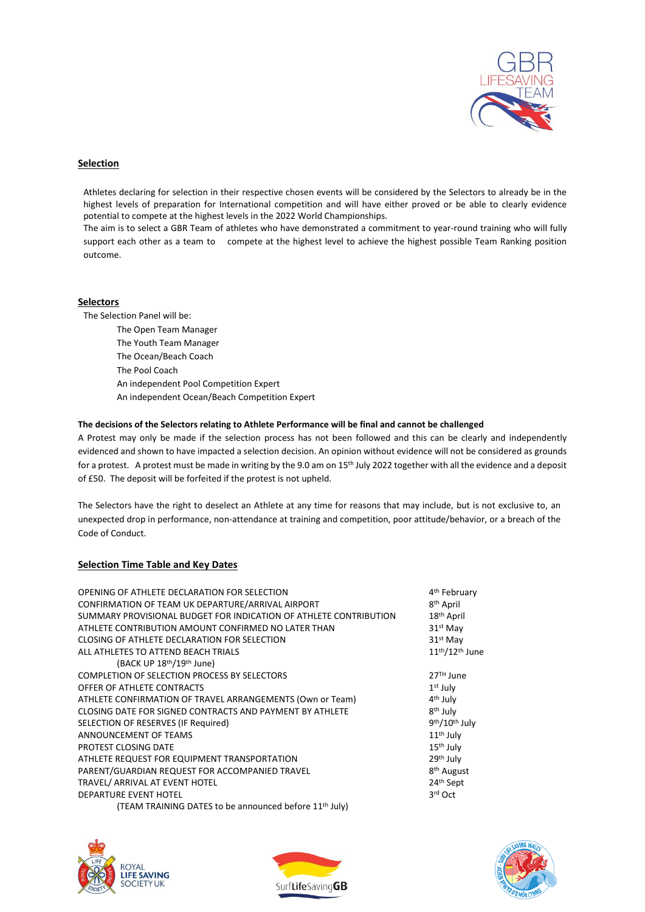

#### **Selection**

Athletes declaring for selection in their respective chosen events will be considered by the Selectors to already be in the highest levels of preparation for International competition and will have either proved or be able to clearly evidence potential to compete at the highest levels in the 2022 World Championships.

The aim is to select a GBR Team of athletes who have demonstrated a commitment to year-round training who will fully support each other as a team to compete at the highest level to achieve the highest possible Team Ranking position outcome.

#### **Selectors**

The Selection Panel will be: The Open Team Manager The Youth Team Manager The Ocean/Beach Coach The Pool Coach An independent Pool Competition Expert An independent Ocean/Beach Competition Expert

#### **The decisions of the Selectors relating to Athlete Performance will be final and cannot be challenged**

A Protest may only be made if the selection process has not been followed and this can be clearly and independently evidenced and shown to have impacted a selection decision. An opinion without evidence will not be considered as grounds for a protest. A protest must be made in writing by the 9.0 am on 15<sup>th</sup> July 2022 together with all the evidence and a deposit of £50. The deposit will be forfeited if the protest is not upheld.

The Selectors have the right to deselect an Athlete at any time for reasons that may include, but is not exclusive to, an unexpected drop in performance, non-attendance at training and competition, poor attitude/behavior, or a breach of the Code of Conduct.

# **Selection Time Table and Key Dates**

| OPENING OF ATHLETE DECLARATION FOR SELECTION                       | 4 <sup>th</sup> February                |
|--------------------------------------------------------------------|-----------------------------------------|
| CONFIRMATION OF TEAM UK DEPARTURE/ARRIVAL AIRPORT                  | 8 <sup>th</sup> April                   |
| SUMMARY PROVISIONAL BUDGET FOR INDICATION OF ATHLETE CONTRIBUTION  | 18th April                              |
| ATHLETE CONTRIBUTION AMOUNT CONFIRMED NO LATER THAN                | 31st May                                |
| CLOSING OF ATHLETE DECLARATION FOR SELECTION                       | 31 <sup>st</sup> May                    |
| ALL ATHLETES TO ATTEND BEACH TRIALS                                | 11 <sup>th</sup> /12 <sup>th</sup> June |
| (BACK UP 18 <sup>th</sup> /19 <sup>th</sup> June)                  |                                         |
| COMPLETION OF SELECTION PROCESS BY SELECTORS                       | $27TH$ June                             |
| OFFER OF ATHLETE CONTRACTS                                         | $1st$ July                              |
| ATHLETE CONFIRMATION OF TRAVEL ARRANGEMENTS (Own or Team)          | 4 <sup>th</sup> July                    |
| CLOSING DATE FOR SIGNED CONTRACTS AND PAYMENT BY ATHLETE           | 8 <sup>th</sup> July                    |
| SELECTION OF RESERVES (IF Required)                                | 9 <sup>th</sup> /10 <sup>th</sup> July  |
| ANNOUNCEMENT OF TEAMS                                              | 11 <sup>th</sup> July                   |
| PROTEST CLOSING DATE                                               | 15 <sup>th</sup> July                   |
| ATHLETE REQUEST FOR EQUIPMENT TRANSPORTATION                       | 29th July                               |
| PARENT/GUARDIAN REQUEST FOR ACCOMPANIED TRAVEL                     | 8 <sup>th</sup> August                  |
| TRAVEL/ ARRIVAL AT EVENT HOTEL                                     | 24 <sup>th</sup> Sept                   |
| <b>DEPARTURE EVENT HOTEL</b>                                       | 3rd Oct                                 |
| (TEAM TRAINING DATES to be announced before 11 <sup>th</sup> July) |                                         |





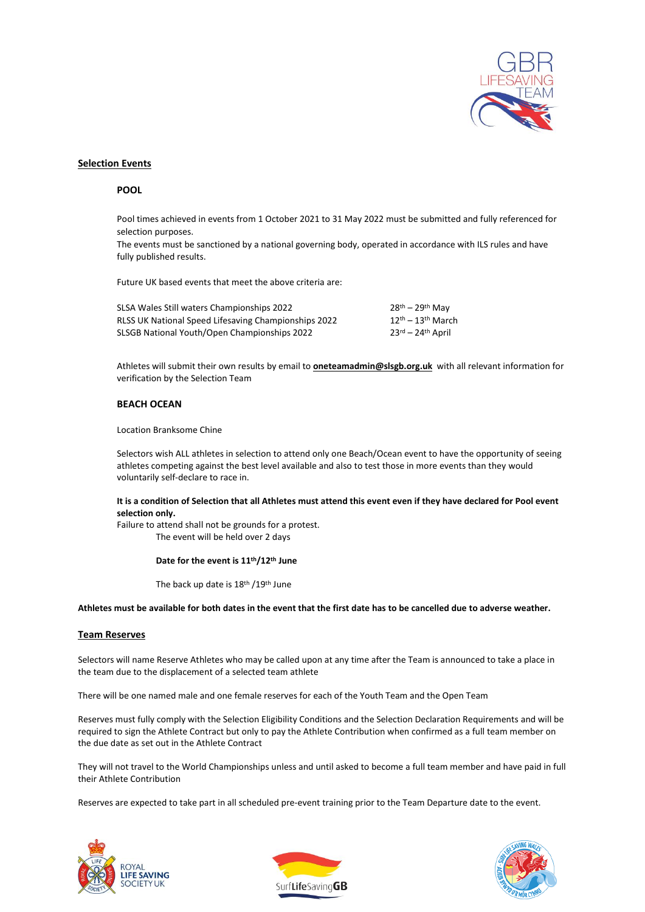

#### **Selection Events**

#### **POOL**

Pool times achieved in events from 1 October 2021 to 31 May 2022 must be submitted and fully referenced for selection purposes.

The events must be sanctioned by a national governing body, operated in accordance with ILS rules and have fully published results.

Future UK based events that meet the above criteria are:

| SLSA Wales Still waters Championships 2022           | $28th - 29th$ Mav                       |
|------------------------------------------------------|-----------------------------------------|
| RLSS UK National Speed Lifesaving Championships 2022 | $12th - 13th$ March                     |
| SLSGB National Youth/Open Championships 2022         | $23^{\text{rd}} - 24^{\text{th}}$ April |

Athletes will submit their own results by email to **oneteamadmin@slsgb.org.uk** with all relevant information for verification by the Selection Team

#### **BEACH OCEAN**

Location Branksome Chine

Selectors wish ALL athletes in selection to attend only one Beach/Ocean event to have the opportunity of seeing athletes competing against the best level available and also to test those in more events than they would voluntarily self-declare to race in.

#### **It is a condition of Selection that all Athletes must attend this event even if they have declared for Pool event selection only.**

Failure to attend shall not be grounds for a protest. The event will be held over 2 days

#### **Date for the event is 11th/12th June**

The back up date is 18th /19th June

**Athletes must be available for both dates in the event that the first date has to be cancelled due to adverse weather.**

# **Team Reserves**

Selectors will name Reserve Athletes who may be called upon at any time after the Team is announced to take a place in the team due to the displacement of a selected team athlete

There will be one named male and one female reserves for each of the Youth Team and the Open Team

Reserves must fully comply with the Selection Eligibility Conditions and the Selection Declaration Requirements and will be required to sign the Athlete Contract but only to pay the Athlete Contribution when confirmed as a full team member on the due date as set out in the Athlete Contract

They will not travel to the World Championships unless and until asked to become a full team member and have paid in full their Athlete Contribution

Reserves are expected to take part in all scheduled pre-event training prior to the Team Departure date to the event.